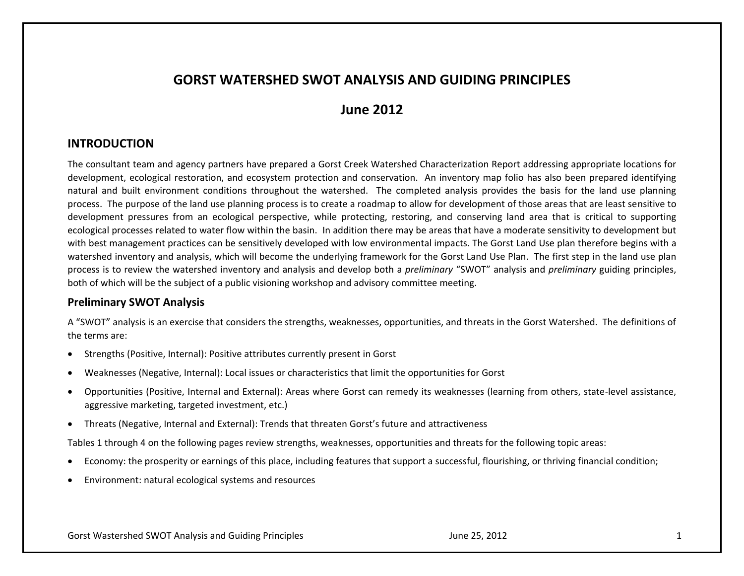## **GORST WATERSHED SWOT ANALYSIS AND GUIDING PRINCIPLES**

## **June 2012**

### **INTRODUCTION**

The consultant team and agency partners have prepared a Gorst Creek Watershed Characterization Report addressing appropriate locations for development, ecological restoration, and ecosystem protection and conservation. An inventory map folio has also been prepared identifying natural and built environment conditions throughout the watershed. The completed analysis provides the basis for the land use planning process. The purpose of the land use planning process is to create a roadmap to allow for development of those areas that are least sensitive to development pressures from an ecological perspective, while protecting, restoring, and conserving land area that is critical to supporting ecological processes related to water flow within the basin. In addition there may be areas that have a moderate sensitivity to development but with best management practices can be sensitively developed with low environmental impacts. The Gorst Land Use plan therefore begins with a watershed inventory and analysis, which will become the underlying framework for the Gorst Land Use Plan. The first step in the land use plan process is to review the watershed inventory and analysis and develop both a *preliminary* "SWOT" analysis and *preliminary* guiding principles, both of which will be the subject of a public visioning workshop and advisory committee meeting.

#### **Preliminary SWOT Analysis**

A "SWOT" analysis is an exercise that considers the strengths, weaknesses, opportunities, and threats in the Gorst Watershed. The definitions of the terms are:

- Strengths (Positive, Internal): Positive attributes currently present in Gorst
- Weaknesses (Negative, Internal): Local issues or characteristics that limit the opportunities for Gorst
- Opportunities (Positive, Internal and External): Areas where Gorst can remedy its weaknesses (learning from others, state-level assistance, aggressive marketing, targeted investment, etc.)
- Threats (Negative, Internal and External): Trends that threaten Gorst's future and attractiveness

Tables 1 through 4 on the following pages review strengths, weaknesses, opportunities and threats for the following topic areas:

- Economy: the prosperity or earnings of this place, including features that support a successful, flourishing, or thriving financial condition;
- Environment: natural ecological systems and resources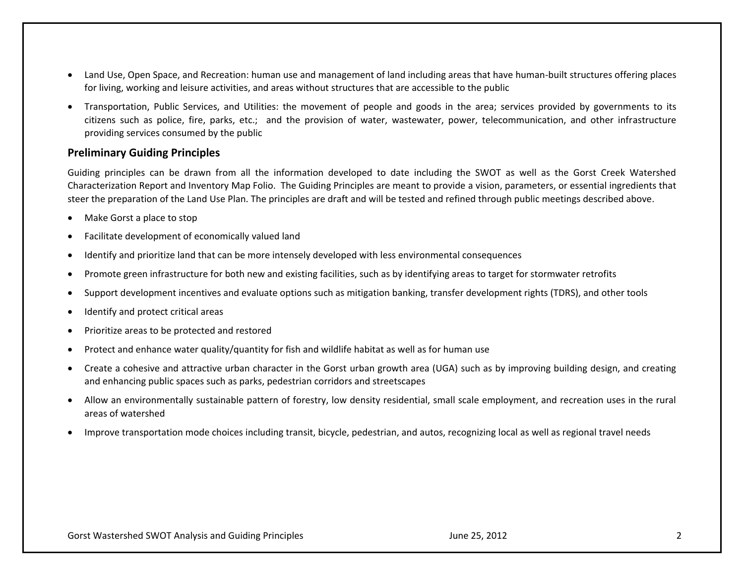- Land Use, Open Space, and Recreation: human use and management of land including areas that have human-built structures offering places for living, working and leisure activities, and areas without structures that are accessible to the public
- Transportation, Public Services, and Utilities: the movement of people and goods in the area; services provided by governments to its citizens such as police, fire, parks, etc.; and the provision of water, wastewater, power, telecommunication, and other infrastructure providing services consumed by the public

#### **Preliminary Guiding Principles**

Guiding principles can be drawn from all the information developed to date including the SWOT as well as the Gorst Creek Watershed Characterization Report and Inventory Map Folio. The Guiding Principles are meant to provide a vision, parameters, or essential ingredients that steer the preparation of the Land Use Plan. The principles are draft and will be tested and refined through public meetings described above.

- Make Gorst a place to stop
- Facilitate development of economically valued land
- Identify and prioritize land that can be more intensely developed with less environmental consequences
- Promote green infrastructure for both new and existing facilities, such as by identifying areas to target for stormwater retrofits
- Support development incentives and evaluate options such as mitigation banking, transfer development rights (TDRS), and other tools
- Identify and protect critical areas
- Prioritize areas to be protected and restored
- Protect and enhance water quality/quantity for fish and wildlife habitat as well as for human use
- Create a cohesive and attractive urban character in the Gorst urban growth area (UGA) such as by improving building design, and creating and enhancing public spaces such as parks, pedestrian corridors and streetscapes
- Allow an environmentally sustainable pattern of forestry, low density residential, small scale employment, and recreation uses in the rural areas of watershed
- Improve transportation mode choices including transit, bicycle, pedestrian, and autos, recognizing local as well as regional travel needs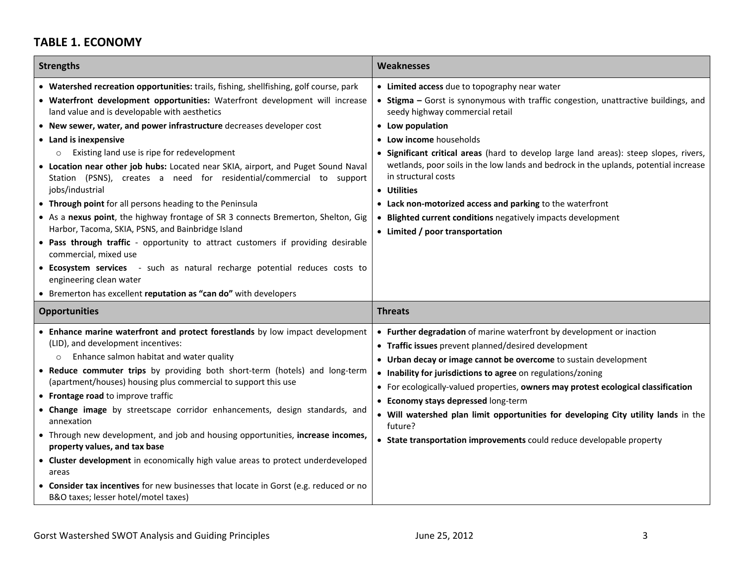## **TABLE 1. ECONOMY**

| <b>Strengths</b>                                                                                                                                                                                                                                                                                                                                                                                                                                                                                                                                                                                                                                                                                                                                                                                                                                                                                                                                                                                                                                                    | Weaknesses                                                                                                                                                                                                                                                                                                                                                                                                                                                                                                                                                                                                     |
|---------------------------------------------------------------------------------------------------------------------------------------------------------------------------------------------------------------------------------------------------------------------------------------------------------------------------------------------------------------------------------------------------------------------------------------------------------------------------------------------------------------------------------------------------------------------------------------------------------------------------------------------------------------------------------------------------------------------------------------------------------------------------------------------------------------------------------------------------------------------------------------------------------------------------------------------------------------------------------------------------------------------------------------------------------------------|----------------------------------------------------------------------------------------------------------------------------------------------------------------------------------------------------------------------------------------------------------------------------------------------------------------------------------------------------------------------------------------------------------------------------------------------------------------------------------------------------------------------------------------------------------------------------------------------------------------|
| • Watershed recreation opportunities: trails, fishing, shellfishing, golf course, park<br>• Waterfront development opportunities: Waterfront development will increase<br>land value and is developable with aesthetics<br>• New sewer, water, and power infrastructure decreases developer cost<br>• Land is inexpensive<br>Existing land use is ripe for redevelopment<br>$\circ$<br>• Location near other job hubs: Located near SKIA, airport, and Puget Sound Naval<br>Station (PSNS), creates a need for residential/commercial to support<br>jobs/industrial<br>• Through point for all persons heading to the Peninsula<br>• As a nexus point, the highway frontage of SR 3 connects Bremerton, Shelton, Gig<br>Harbor, Tacoma, SKIA, PSNS, and Bainbridge Island<br>• Pass through traffic - opportunity to attract customers if providing desirable<br>commercial, mixed use<br>• Ecosystem services - such as natural recharge potential reduces costs to<br>engineering clean water<br>• Bremerton has excellent reputation as "can do" with developers | • Limited access due to topography near water<br>• Stigma - Gorst is synonymous with traffic congestion, unattractive buildings, and<br>seedy highway commercial retail<br>• Low population<br>• Low income households<br>• Significant critical areas (hard to develop large land areas): steep slopes, rivers,<br>wetlands, poor soils in the low lands and bedrock in the uplands, potential increase<br>in structural costs<br>• Utilities<br>• Lack non-motorized access and parking to the waterfront<br>• Blighted current conditions negatively impacts development<br>• Limited / poor transportation |
| <b>Opportunities</b>                                                                                                                                                                                                                                                                                                                                                                                                                                                                                                                                                                                                                                                                                                                                                                                                                                                                                                                                                                                                                                                | <b>Threats</b>                                                                                                                                                                                                                                                                                                                                                                                                                                                                                                                                                                                                 |
| • Enhance marine waterfront and protect forestlands by low impact development<br>(LID), and development incentives:<br>Enhance salmon habitat and water quality<br>$\circ$<br>. Reduce commuter trips by providing both short-term (hotels) and long-term<br>(apartment/houses) housing plus commercial to support this use<br>• Frontage road to improve traffic<br>• Change image by streetscape corridor enhancements, design standards, and<br>annexation<br>• Through new development, and job and housing opportunities, increase incomes,<br>property values, and tax base<br>• Cluster development in economically high value areas to protect underdeveloped<br>areas<br>• Consider tax incentives for new businesses that locate in Gorst (e.g. reduced or no<br>B&O taxes; lesser hotel/motel taxes)                                                                                                                                                                                                                                                     | • Further degradation of marine waterfront by development or inaction<br>• Traffic issues prevent planned/desired development<br>• Urban decay or image cannot be overcome to sustain development<br>• Inability for jurisdictions to agree on regulations/zoning<br>• For ecologically-valued properties, owners may protest ecological classification<br>• Economy stays depressed long-term<br>. Will watershed plan limit opportunities for developing City utility lands in the<br>future?<br>• State transportation improvements could reduce developable property                                       |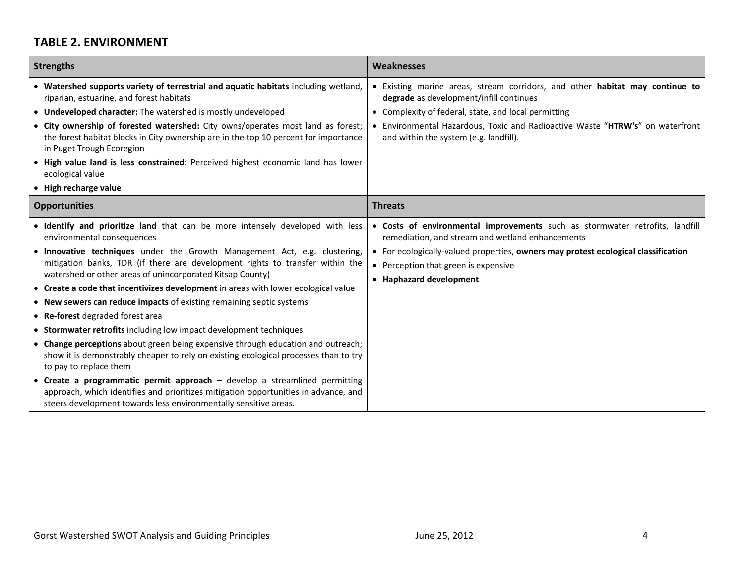## **TABLE 2. ENVIRONMENT**

| <b>Strengths</b>                                                                                                                                                                                                                                                                                                                                                                                                                                                                                                                                                                                                                                                                                                                                                                                                                                                                                                                                                                                                                                            | Weaknesses                                                                                                                                                                                                                                                                                                 |
|-------------------------------------------------------------------------------------------------------------------------------------------------------------------------------------------------------------------------------------------------------------------------------------------------------------------------------------------------------------------------------------------------------------------------------------------------------------------------------------------------------------------------------------------------------------------------------------------------------------------------------------------------------------------------------------------------------------------------------------------------------------------------------------------------------------------------------------------------------------------------------------------------------------------------------------------------------------------------------------------------------------------------------------------------------------|------------------------------------------------------------------------------------------------------------------------------------------------------------------------------------------------------------------------------------------------------------------------------------------------------------|
| • Watershed supports variety of terrestrial and aquatic habitats including wetland,<br>riparian, estuarine, and forest habitats<br>• Undeveloped character: The watershed is mostly undeveloped<br>City ownership of forested watershed: City owns/operates most land as forest;<br>the forest habitat blocks in City ownership are in the top 10 percent for importance<br>in Puget Trough Ecoregion<br>. High value land is less constrained: Perceived highest economic land has lower<br>ecological value<br>• High recharge value                                                                                                                                                                                                                                                                                                                                                                                                                                                                                                                      | • Existing marine areas, stream corridors, and other habitat may continue to<br>degrade as development/infill continues<br>• Complexity of federal, state, and local permitting<br>• Environmental Hazardous, Toxic and Radioactive Waste "HTRW's" on waterfront<br>and within the system (e.g. landfill). |
| <b>Opportunities</b>                                                                                                                                                                                                                                                                                                                                                                                                                                                                                                                                                                                                                                                                                                                                                                                                                                                                                                                                                                                                                                        | <b>Threats</b>                                                                                                                                                                                                                                                                                             |
| . Identify and prioritize land that can be more intensely developed with less<br>environmental consequences<br>Innovative techniques under the Growth Management Act, e.g. clustering,<br>mitigation banks, TDR (if there are development rights to transfer within the<br>watershed or other areas of unincorporated Kitsap County)<br>• Create a code that incentivizes development in areas with lower ecological value<br>• New sewers can reduce impacts of existing remaining septic systems<br>• Re-forest degraded forest area<br>• Stormwater retrofits including low impact development techniques<br>• Change perceptions about green being expensive through education and outreach;<br>show it is demonstrably cheaper to rely on existing ecological processes than to try<br>to pay to replace them<br>• Create a programmatic permit approach - develop a streamlined permitting<br>approach, which identifies and prioritizes mitigation opportunities in advance, and<br>steers development towards less environmentally sensitive areas. | · Costs of environmental improvements such as stormwater retrofits, landfill<br>remediation, and stream and wetland enhancements<br>• For ecologically-valued properties, owners may protest ecological classification<br>• Perception that green is expensive<br>• Haphazard development                  |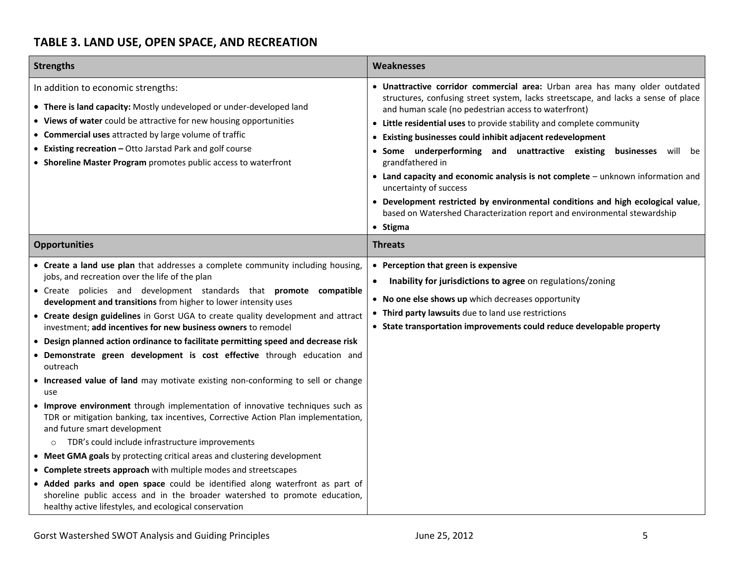# **TABLE 3. LAND USE, OPEN SPACE, AND RECREATION**

| <b>Strengths</b>                                                                                                                                                                                                                                                                                                                                                                                                                                                                                                                                                                                                                                                                                                                                                                                                                                                                                                                                                                                                                                                                                                                                                                                                                                                                                                                                      | <b>Weaknesses</b>                                                                                                                                                                                                                                                                                                                                                                                                                                                                                                                                                                                                                                                                                                                                   |
|-------------------------------------------------------------------------------------------------------------------------------------------------------------------------------------------------------------------------------------------------------------------------------------------------------------------------------------------------------------------------------------------------------------------------------------------------------------------------------------------------------------------------------------------------------------------------------------------------------------------------------------------------------------------------------------------------------------------------------------------------------------------------------------------------------------------------------------------------------------------------------------------------------------------------------------------------------------------------------------------------------------------------------------------------------------------------------------------------------------------------------------------------------------------------------------------------------------------------------------------------------------------------------------------------------------------------------------------------------|-----------------------------------------------------------------------------------------------------------------------------------------------------------------------------------------------------------------------------------------------------------------------------------------------------------------------------------------------------------------------------------------------------------------------------------------------------------------------------------------------------------------------------------------------------------------------------------------------------------------------------------------------------------------------------------------------------------------------------------------------------|
| In addition to economic strengths:<br>• There is land capacity: Mostly undeveloped or under-developed land<br>• Views of water could be attractive for new housing opportunities<br>• Commercial uses attracted by large volume of traffic<br>• Existing recreation - Otto Jarstad Park and golf course<br>• Shoreline Master Program promotes public access to waterfront                                                                                                                                                                                                                                                                                                                                                                                                                                                                                                                                                                                                                                                                                                                                                                                                                                                                                                                                                                            | . Unattractive corridor commercial area: Urban area has many older outdated<br>structures, confusing street system, lacks streetscape, and lacks a sense of place<br>and human scale (no pedestrian access to waterfront)<br>• Little residential uses to provide stability and complete community<br>• Existing businesses could inhibit adjacent redevelopment<br>• Some underperforming and unattractive existing businesses will be<br>grandfathered in<br>• Land capacity and economic analysis is not complete - unknown information and<br>uncertainty of success<br>• Development restricted by environmental conditions and high ecological value,<br>based on Watershed Characterization report and environmental stewardship<br>• Stigma |
| <b>Opportunities</b>                                                                                                                                                                                                                                                                                                                                                                                                                                                                                                                                                                                                                                                                                                                                                                                                                                                                                                                                                                                                                                                                                                                                                                                                                                                                                                                                  | <b>Threats</b>                                                                                                                                                                                                                                                                                                                                                                                                                                                                                                                                                                                                                                                                                                                                      |
| • Create a land use plan that addresses a complete community including housing,<br>jobs, and recreation over the life of the plan<br>. Create policies and development standards that promote compatible<br>development and transitions from higher to lower intensity uses<br>• Create design guidelines in Gorst UGA to create quality development and attract<br>investment; add incentives for new business owners to remodel<br>• Design planned action ordinance to facilitate permitting speed and decrease risk<br>• Demonstrate green development is cost effective through education and<br>outreach<br>• Increased value of land may motivate existing non-conforming to sell or change<br>use<br>• Improve environment through implementation of innovative techniques such as<br>TDR or mitigation banking, tax incentives, Corrective Action Plan implementation,<br>and future smart development<br>TDR's could include infrastructure improvements<br>$\circ$<br>• Meet GMA goals by protecting critical areas and clustering development<br>• Complete streets approach with multiple modes and streetscapes<br>• Added parks and open space could be identified along waterfront as part of<br>shoreline public access and in the broader watershed to promote education,<br>healthy active lifestyles, and ecological conservation | • Perception that green is expensive<br>Inability for jurisdictions to agree on regulations/zoning<br>• No one else shows up which decreases opportunity<br>• Third party lawsuits due to land use restrictions<br>• State transportation improvements could reduce developable property                                                                                                                                                                                                                                                                                                                                                                                                                                                            |